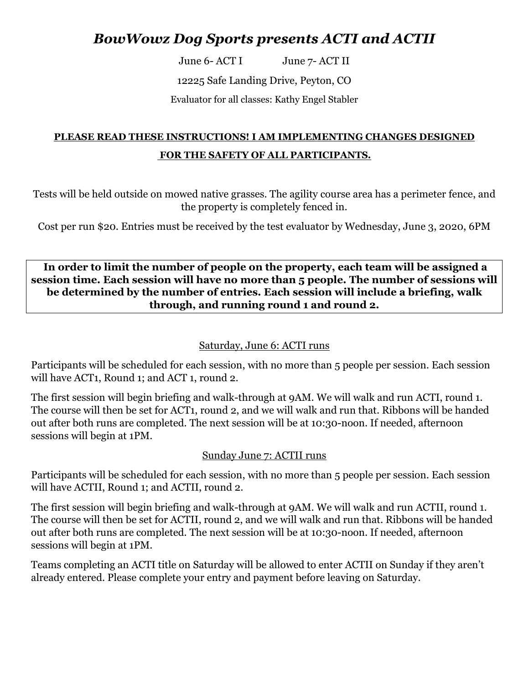# *BowWowz Dog Sports presents ACTI and ACTII*

June 6- ACT I June 7- ACT II

12225 Safe Landing Drive, Peyton, CO

Evaluator for all classes: Kathy Engel Stabler

## **PLEASE READ THESE INSTRUCTIONS! I AM IMPLEMENTING CHANGES DESIGNED FOR THE SAFETY OF ALL PARTICIPANTS***.*

Tests will be held outside on mowed native grasses. The agility course area has a perimeter fence, and the property is completely fenced in.

Cost per run \$20. Entries must be received by the test evaluator by Wednesday, June 3, 2020, 6PM

**In order to limit the number of people on the property, each team will be assigned a session time. Each session will have no more than 5 people. The number of sessions will be determined by the number of entries. Each session will include a briefing, walk through, and running round 1 and round 2.**

### Saturday, June 6: ACTI runs

Participants will be scheduled for each session, with no more than 5 people per session. Each session will have ACT1, Round 1; and ACT 1, round 2.

The first session will begin briefing and walk-through at 9AM. We will walk and run ACTI, round 1. The course will then be set for ACT1, round 2, and we will walk and run that. Ribbons will be handed out after both runs are completed. The next session will be at 10:30-noon. If needed, afternoon sessions will begin at 1PM.

### Sunday June 7: ACTII runs

Participants will be scheduled for each session, with no more than 5 people per session. Each session will have ACTII, Round 1; and ACTII, round 2.

The first session will begin briefing and walk-through at 9AM. We will walk and run ACTII, round 1. The course will then be set for ACTII, round 2, and we will walk and run that. Ribbons will be handed out after both runs are completed. The next session will be at 10:30-noon. If needed, afternoon sessions will begin at 1PM.

Teams completing an ACTI title on Saturday will be allowed to enter ACTII on Sunday if they aren't already entered. Please complete your entry and payment before leaving on Saturday.